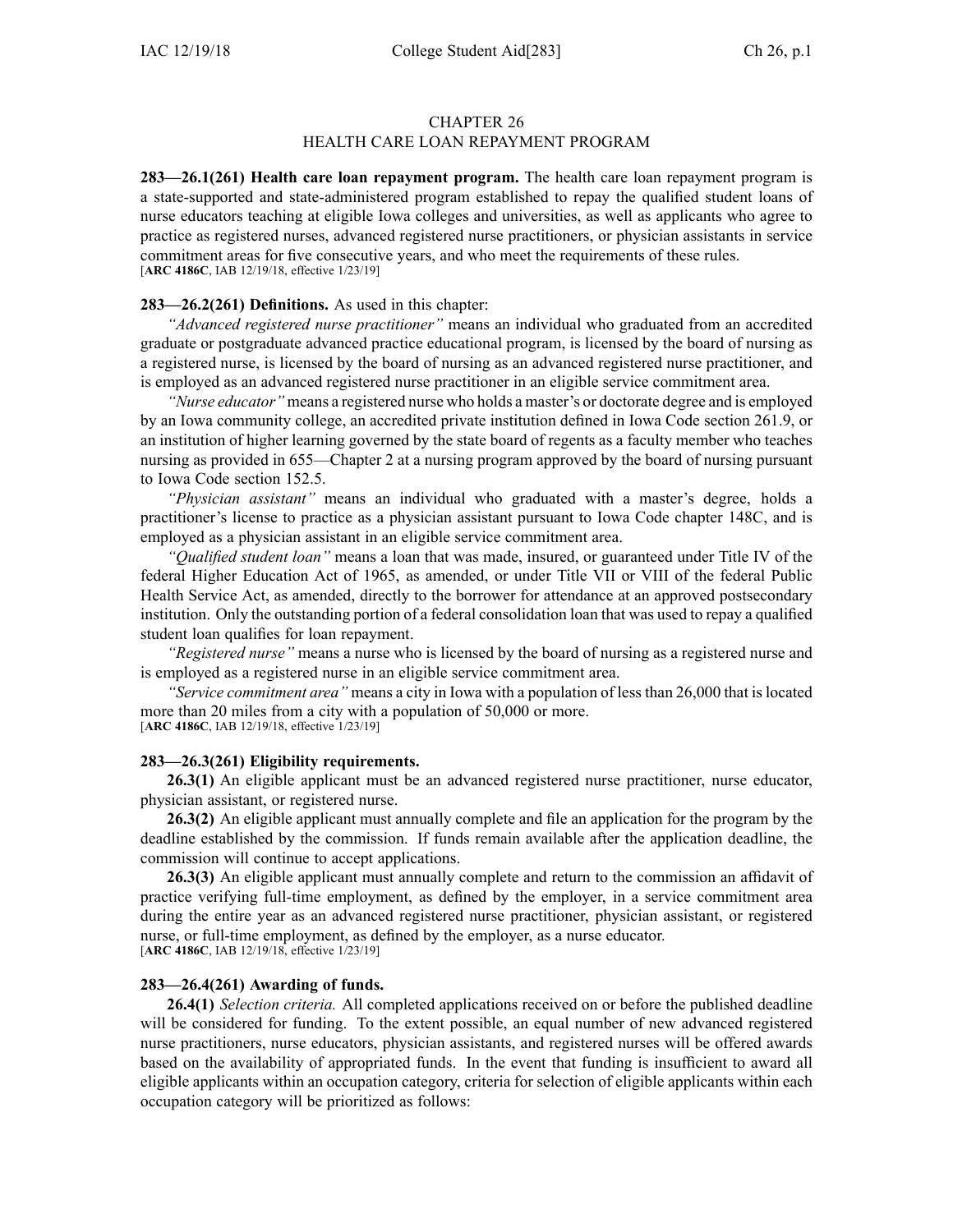# CHAPTER 26 HEALTH CARE LOAN REPAYMENT PROGRAM

**283—26.1(261) Health care loan repaymen<sup>t</sup> program.** The health care loan repaymen<sup>t</sup> program is <sup>a</sup> state-supported and state-administered program established to repay the qualified student loans of nurse educators teaching at eligible Iowa colleges and universities, as well as applicants who agree to practice as registered nurses, advanced registered nurse practitioners, or physician assistants in service commitment areas for five consecutive years, and who meet the requirements of these rules. [**ARC [4186C](https://www.legis.iowa.gov/docs/aco/arc/4186C.pdf)**, IAB 12/19/18, effective 1/23/19]

### **283—26.2(261) Definitions.** As used in this chapter:

*"Advanced registered nurse practitioner"* means an individual who graduated from an accredited graduate or postgraduate advanced practice educational program, is licensed by the board of nursing as <sup>a</sup> registered nurse, is licensed by the board of nursing as an advanced registered nurse practitioner, and is employed as an advanced registered nurse practitioner in an eligible service commitment area.

*"Nurse educator"* means <sup>a</sup> registered nurse who holds <sup>a</sup> master's or doctorate degree and is employed by an Iowa community college, an accredited private institution defined in Iowa Code section [261.9](https://www.legis.iowa.gov/docs/ico/section/2018/261.9.pdf), or an institution of higher learning governed by the state board of regents as <sup>a</sup> faculty member who teaches nursing as provided in [655—Chapter](https://www.legis.iowa.gov/docs/iac/chapter/655.2.pdf) 2 at <sup>a</sup> nursing program approved by the board of nursing pursuan<sup>t</sup> to Iowa Code section [152.5](https://www.legis.iowa.gov/docs/ico/section/2018/152.5.pdf).

*"Physician assistant"* means an individual who graduated with <sup>a</sup> master's degree, holds <sup>a</sup> practitioner's license to practice as <sup>a</sup> physician assistant pursuan<sup>t</sup> to Iowa Code chapter [148C](https://www.legis.iowa.gov/docs/ico/chapter/2018/148C.pdf), and is employed as <sup>a</sup> physician assistant in an eligible service commitment area.

*"Qualified student loan"* means <sup>a</sup> loan that was made, insured, or guaranteed under Title IV of the federal Higher Education Act of 1965, as amended, or under Title VII or VIII of the federal Public Health Service Act, as amended, directly to the borrower for attendance at an approved postsecondary institution. Only the outstanding portion of <sup>a</sup> federal consolidation loan that was used to repay <sup>a</sup> qualified student loan qualifies for loan repayment.

*"Registered nurse"* means <sup>a</sup> nurse who is licensed by the board of nursing as <sup>a</sup> registered nurse and is employed as <sup>a</sup> registered nurse in an eligible service commitment area.

*"Service commitment area"* means <sup>a</sup> city in Iowa with <sup>a</sup> population of lessthan 26,000 that islocated more than 20 miles from <sup>a</sup> city with <sup>a</sup> population of 50,000 or more.

[**ARC [4186C](https://www.legis.iowa.gov/docs/aco/arc/4186C.pdf)**, IAB 12/19/18, effective 1/23/19]

## **283—26.3(261) Eligibility requirements.**

**26.3(1)** An eligible applicant must be an advanced registered nurse practitioner, nurse educator, physician assistant, or registered nurse.

**26.3(2)** An eligible applicant must annually complete and file an application for the program by the deadline established by the commission. If funds remain available after the application deadline, the commission will continue to accep<sup>t</sup> applications.

**26.3(3)** An eligible applicant must annually complete and return to the commission an affidavit of practice verifying full-time employment, as defined by the employer, in <sup>a</sup> service commitment area during the entire year as an advanced registered nurse practitioner, physician assistant, or registered nurse, or full-time employment, as defined by the employer, as <sup>a</sup> nurse educator. [**ARC [4186C](https://www.legis.iowa.gov/docs/aco/arc/4186C.pdf)**, IAB 12/19/18, effective 1/23/19]

#### **283—26.4(261) Awarding of funds.**

**26.4(1)** *Selection criteria.* All completed applications received on or before the published deadline will be considered for funding. To the extent possible, an equal number of new advanced registered nurse practitioners, nurse educators, physician assistants, and registered nurses will be offered awards based on the availability of appropriated funds. In the event that funding is insufficient to award all eligible applicants within an occupation category, criteria for selection of eligible applicants within each occupation category will be prioritized as follows: